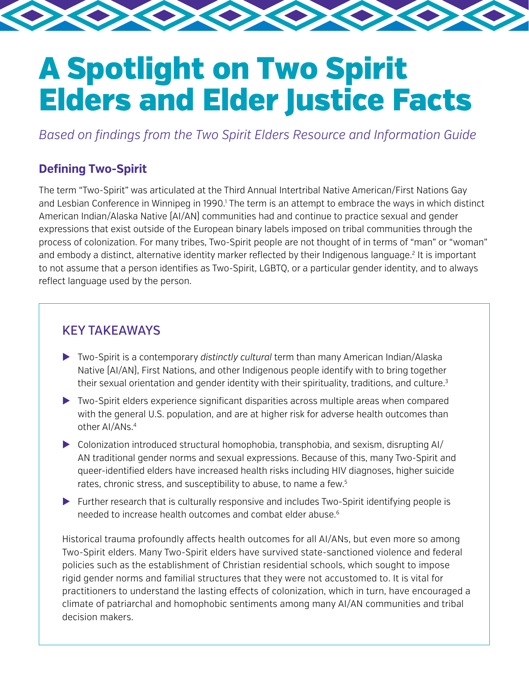# A Spotlight on Two Spirit Elders and Elder Justice Facts

*Based on findings from the Two Spirit Elders Resource and Information Guide*

## **Defining Two-Spirit**

The term "Two-Spirit" was articulated at the Third Annual Intertribal Native American/First Nations Gay and Lesbian Conference in Winnipeg in 1990.<sup>1</sup> The term is an attempt to embrace the ways in which distinct American Indian/Alaska Native (AI/AN) communities had and continue to practice sexual and gender expressions that exist outside of the European binary labels imposed on tribal communities through the process of colonization. For many tribes, Two-Spirit people are not thought of in terms of "man" or "woman" and embody a distinct, alternative identity marker reflected by their Indigenous language.<sup>2</sup> It is important to not assume that a person identifies as Two-Spirit, LGBTQ, or a particular gender identity, and to always reflect language used by the person.

# KEY TAKEAWAYS

- $\triangleright$  Two-Spirit is a contemporary distinctly cultural term than many American Indian/Alaska Native [AI/AN], First Nations, and other Indigenous people identify with to bring together their sexual orientation and gender identity with their spirituality, traditions, and culture.<sup>3</sup>
- $\triangleright$  Two-Spirit elders experience significant disparities across multiple areas when compared with the general U.S. population, and are at higher risk for adverse health outcomes than other AI/ANs.<sup>4</sup>
- Colonization introduced structural homophobia, transphobia, and sexism, disrupting AI/ X AN traditional gender norms and sexual expressions. Because of this, many Two-Spirit and queer-identified elders have increased health risks including HIV diagnoses, higher suicide rates, chronic stress, and susceptibility to abuse, to name a few.<sup>5</sup>
- $\triangleright$  Further research that is culturally responsive and includes Two-Spirit identifying people is needed to increase health outcomes and combat elder abuse.<sup>6</sup>

Historical trauma profoundly affects health outcomes for all AI/ANs, but even more so among Two-Spirit elders. Many Two-Spirit elders have survived state-sanctioned violence and federal policies such as the establishment of Christian residential schools, which sought to impose rigid gender norms and familial structures that they were not accustomed to. It is vital for practitioners to understand the lasting effects of colonization, which in turn, have encouraged a climate of patriarchal and homophobic sentiments among many AI/AN communities and tribal decision makers.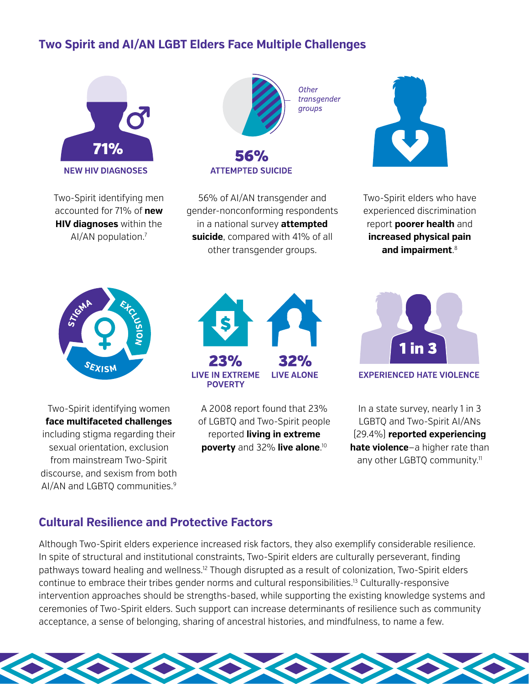# **Two Spirit and AI/AN LGBT Elders Face Multiple Challenges**



Two-Spirit identifying men accounted for 71% of **new HIV diagnoses** within the AI/AN population.7



**ATTEMPTED SUICIDE** 

56% of AI/AN transgender and gender-nonconforming respondents in a national survey **attempted suicide**, compared with 41% of all other transgender groups.



Two-Spirit elders who have experienced discrimination report **poorer health** and **increased physical pain and impairment**. 8



Two-Spirit identifying women **face multifaceted challenges** including stigma regarding their sexual orientation, exclusion from mainstream Two-Spirit discourse, and sexism from both AI/AN and LGBTQ communities.<sup>9</sup>



A 2008 report found that 23% of LGBTQ and Two-Spirit people reported **living in extreme poverty** and 32% **live alone**. 10



**EXPERIENCED HATE VIOLENCE** 

In a state survey, nearly 1 in 3 LGBTQ and Two-Spirit AI/ANs (29.4%) **reported experiencing hate violence**—a higher rate than any other LGBTQ community.<sup>11</sup>

## **Cultural Resilience and Protective Factors**

Although Two-Spirit elders experience increased risk factors, they also exemplify considerable resilience. In spite of structural and institutional constraints, Two-Spirit elders are culturally perseverant, finding pathways toward healing and wellness.<sup>12</sup> Though disrupted as a result of colonization, Two-Spirit elders continue to embrace their tribes gender norms and cultural responsibilities.13 Culturally-responsive intervention approaches should be strengths-based, while supporting the existing knowledge systems and ceremonies of Two-Spirit elders. Such support can increase determinants of resilience such as community acceptance, a sense of belonging, sharing of ancestral histories, and mindfulness, to name a few.